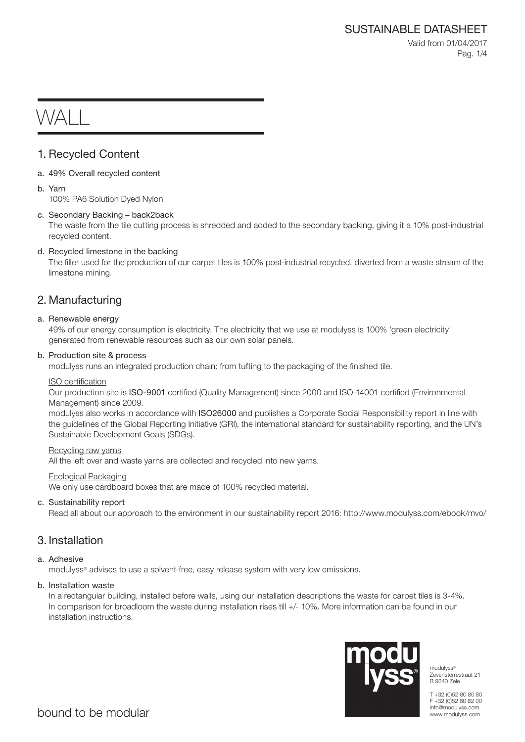Valid from 01/04/2017 Pag. 1/4

# WAL I

# 1. Recycled Content

- a. 49% Overall recycled content
- b. Yarn

100% PA6 Solution Dyed Nylon

# c. Secondary Backing – back2back

The waste from the tile cutting process is shredded and added to the secondary backing, giving it a 10% post-industrial recycled content.

# d. Recycled limestone in the backing

The filler used for the production of our carpet tiles is 100% post-industrial recycled, diverted from a waste stream of the limestone mining.

# 2. Manufacturing

# a. Renewable energy

49% of our energy consumption is electricity. The electricity that we use at modulyss is 100% 'green electricity' generated from renewable resources such as our own solar panels.

# b. Production site & process

modulyss runs an integrated production chain: from tufting to the packaging of the finished tile.

## ISO certification

Our production site is ISO-9001 certified (Quality Management) since 2000 and ISO-14001 certified (Environmental Management) since 2009.

modulyss also works in accordance with ISO26000 and publishes a Corporate Social Responsibility report in line with the guidelines of the Global Reporting Initiative (GRI), the international standard for sustainability reporting, and the UN's Sustainable Development Goals (SDGs).

## Recycling raw yarns

All the left over and waste yarns are collected and recycled into new yarns.

## Ecological Packaging

We only use cardboard boxes that are made of 100% recycled material.

# c. Sustainability report

Read all about our approach to the environment in our sustainability report 2016: http://www.modulyss.com/ebook/mvo/

# 3. Installation

# a. Adhesive

modulyss® advises to use a solvent-free, easy release system with very low emissions.

## b. Installation waste

In a rectangular building, installed before walls, using our installation descriptions the waste for carpet tiles is 3-4%. In comparison for broadloom the waste during installation rises till +/- 10%. More information can be found in our installation instructions.



modulyss® Zevensterrestraat 21 B 9240 Zele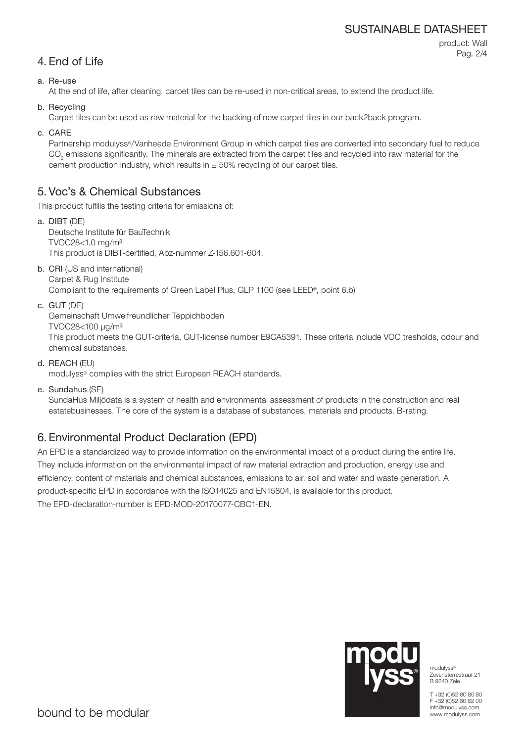# SUSTAINABLE DATASHEET

| 4. End of Life |  |
|----------------|--|
|                |  |

product: Wall Pag. 2/4

# a. Re-use

At the end of life, after cleaning, carpet tiles can be re-used in non-critical areas, to extend the product life.

b. Recycling

Carpet tiles can be used as raw material for the backing of new carpet tiles in our back2back program.

c. CARE

Partnership modulyss®/Vanheede Environment Group in which carpet tiles are converted into secondary fuel to reduce  $\mathrm{CO}_2$  emissions significantly. The minerals are extracted from the carpet tiles and recycled into raw material for the cement production industry, which results in  $\pm$  50% recycling of our carpet tiles.

# 5. Voc's & Chemical Substances

This product fulfills the testing criteria for emissions of:

- a. DIBT (DE) Deutsche Institute für BauTechnik TVOC28<1,0 mg/m³ This product is DIBT-certified, Abz-nummer Z-156.601-604.
- b. CRI (US and international) Carpet & Rug Institute Compliant to the requirements of Green Label Plus, GLP 1100 (see LEED®, point 6.b)
- c. GUT (DE)

Gemeinschaft Umwelfreundlicher Teppichboden

TVOC28<100 μg/m³

This product meets the GUT-criteria, GUT-license number E9CA5391. These criteria include VOC tresholds, odour and chemical substances.

d. REACH (EU)

modulyss® complies with the strict European REACH standards.

e. Sundahus (SE)

SundaHus Miljödata is a system of health and environmental assessment of products in the construction and real estatebusinesses. The core of the system is a database of substances, materials and products. B-rating.

# 6. Environmental Product Declaration (EPD)

An EPD is a standardized way to provide information on the environmental impact of a product during the entire life. They include information on the environmental impact of raw material extraction and production, energy use and efficiency, content of materials and chemical substances, emissions to air, soil and water and waste generation. A product-specific EPD in accordance with the ISO14025 and EN15804, is available for this product. The EPD-declaration-number is EPD-MOD-20170077-CBC1-EN.



modulyss® Zevensterrestraat 21 B 9240 Zele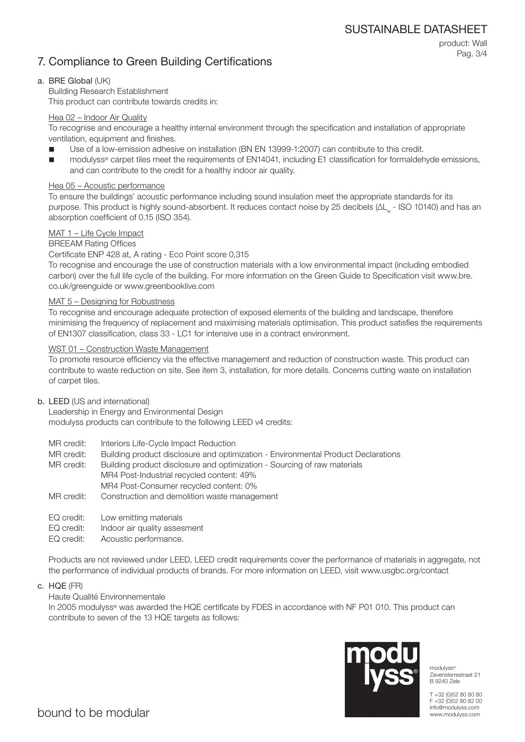# 7. Compliance to Green Building Certifications

product: Wall Pag. 3/4

# a. BRE Global (UK)

Building Research Establishment This product can contribute towards credits in:

# Hea 02 – Indoor Air Quality

To recognise and encourage a healthy internal environment through the specification and installation of appropriate ventilation, equipment and finishes.

- Use of a low-emission adhesive on installation (BN EN 13999-1:2007) can contribute to this credit.
- modulyss® carpet tiles meet the requirements of EN14041, including E1 classification for formaldehyde emissions, and can contribute to the credit for a healthy indoor air quality.

# Hea 05 – Acoustic performance

To ensure the buildings' acoustic performance including sound insulation meet the appropriate standards for its purpose. This product is highly sound-absorbent. It reduces contact noise by 25 decibels (ΔL<sub>w</sub> - ISO 10140) and has an absorption coefficient of 0.15 (ISO 354).

# MAT 1 – Life Cycle Impact

# BREEAM Rating Offices

## Certificate ENP 428 at, A rating - Eco Point score 0,315

To recognise and encourage the use of construction materials with a low environmental impact (including embodied carbon) over the full life cycle of the building. For more information on the Green Guide to Specification visit www.bre. co.uk/greenguide or www.greenbooklive.com

## MAT 5 – Designing for Robustness

To recognise and encourage adequate protection of exposed elements of the building and landscape, therefore minimising the frequency of replacement and maximising materials optimisation. This product satisfies the requirements of EN1307 classification, class 33 - LC1 for intensive use in a contract environment.

# WST 01 – Construction Waste Management

To promote resource efficiency via the effective management and reduction of construction waste. This product can contribute to waste reduction on site. See item 3, installation, for more details. Concerns cutting waste on installation of carpet tiles.

## b. LEED (US and international)

Leadership in Energy and Environmental Design modulyss products can contribute to the following LEED v4 credits:

- MR credit: Interiors Life-Cycle Impact Reduction
- MR credit: Building product disclosure and optimization Environmental Product Declarations

MR credit: Building product disclosure and optimization - Sourcing of raw materials MR4 Post-Industrial recycled content: 49% MR4 Post-Consumer recycled content: 0%

- MR credit: Construction and demolition waste management
- EQ credit: Low emitting materials
- EQ credit: Indoor air quality assesment
- EQ credit: Acoustic performance.

Products are not reviewed under LEED, LEED credit requirements cover the performance of materials in aggregate, not the performance of individual products of brands. For more information on LEED, visit www.usgbc.org/contact

c. HQE (FR)

## Haute Qualité Environnementale

In 2005 modulyss® was awarded the HQE certificate by FDES in accordance with NF P01 010. This product can contribute to seven of the 13 HQE targets as follows:



modulyss<sup>®</sup> Zevensterrestraat 21 B 9240 Zele